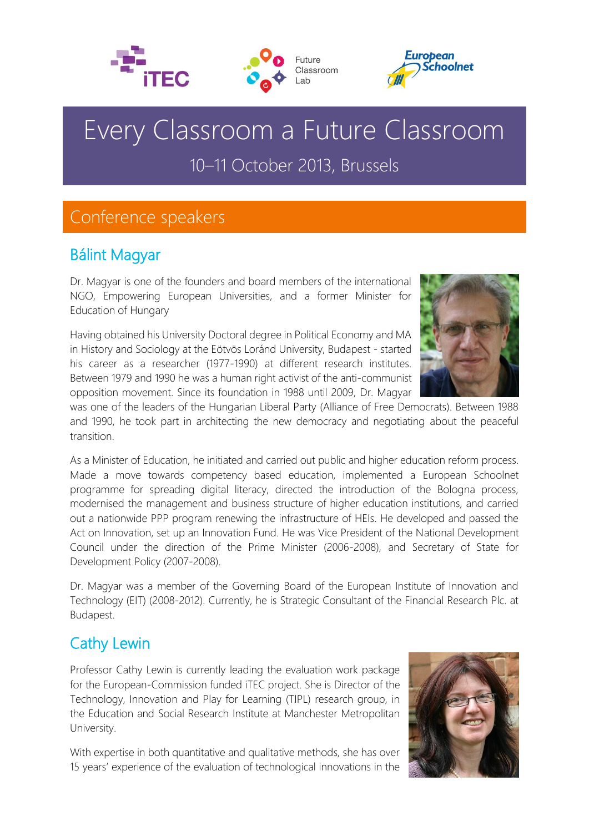





# Every Classroom a Future Classroom 10–11 October 2013, Brussels

# Conference speakers

### Bálint Magyar

Dr. Magyar is one of the founders and board members of the international NGO, Empowering European Universities, and a former Minister for Education of Hungary

Having obtained his University Doctoral degree in Political Economy and MA in History and Sociology at the Eötvös Loránd University, Budapest - started his career as a researcher (1977-1990) at different research institutes. Between 1979 and 1990 he was a human right activist of the anti-communist opposition movement. Since its foundation in 1988 until 2009, Dr. Magyar



was one of the leaders of the Hungarian Liberal Party (Alliance of Free Democrats). Between 1988 and 1990, he took part in architecting the new democracy and negotiating about the peaceful transition.

As a Minister of Education, he initiated and carried out public and higher education reform process. Made a move towards competency based education, implemented a European Schoolnet programme for spreading digital literacy, directed the introduction of the Bologna process, modernised the management and business structure of higher education institutions, and carried out a nationwide PPP program renewing the infrastructure of HEIs. He developed and passed the Act on Innovation, set up an Innovation Fund. He was Vice President of the National Development Council under the direction of the Prime Minister (2006-2008), and Secretary of State for Development Policy (2007-2008).

Dr. Magyar was a member of the Governing Board of the European Institute of Innovation and Technology (EIT) (2008-2012). Currently, he is Strategic Consultant of the Financial Research Plc. at Budapest.

### Cathy Lewin

Professor Cathy Lewin is currently leading the evaluation work package for the European-Commission funded iTEC project. She is Director of the Technology, Innovation and Play for Learning (TIPL) research group, in the Education and Social Research Institute at Manchester Metropolitan University.

With expertise in both quantitative and qualitative methods, she has over 15 years' experience of the evaluation of technological innovations in the

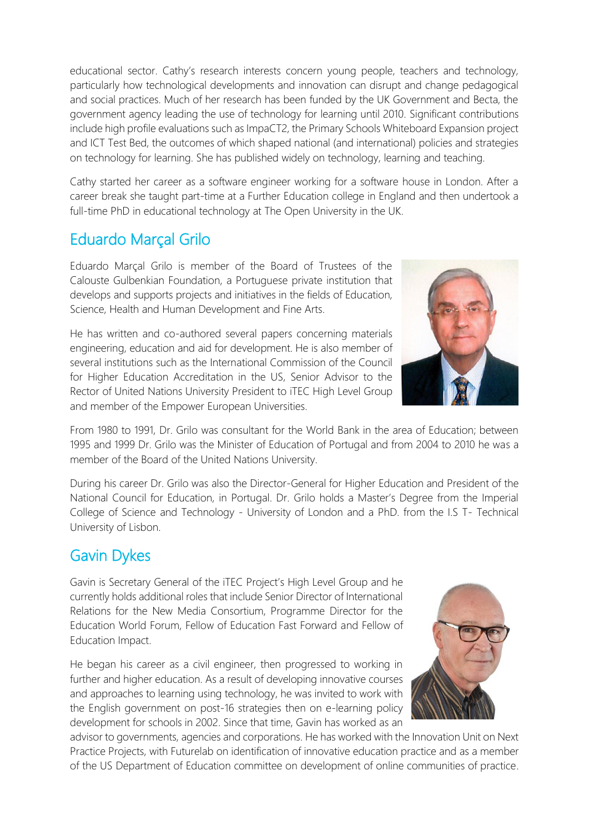educational sector. Cathy's research interests concern young people, teachers and technology, particularly how technological developments and innovation can disrupt and change pedagogical and social practices. Much of her research has been funded by the UK Government and Becta, the government agency leading the use of technology for learning until 2010. Significant contributions include high profile evaluations such as ImpaCT2, the Primary Schools Whiteboard Expansion project and ICT Test Bed, the outcomes of which shaped national (and international) policies and strategies on technology for learning. She has published widely on technology, learning and teaching.

Cathy started her career as a software engineer working for a software house in London. After a career break she taught part-time at a Further Education college in England and then undertook a full-time PhD in educational technology at The Open University in the UK.

## Eduardo Marçal Grilo

Eduardo Marçal Grilo is member of the Board of Trustees of the Calouste Gulbenkian Foundation, a Portuguese private institution that develops and supports projects and initiatives in the fields of Education, Science, Health and Human Development and Fine Arts.

He has written and co-authored several papers concerning materials engineering, education and aid for development. He is also member of several institutions such as the International Commission of the Council for Higher Education Accreditation in the US, Senior Advisor to the Rector of United Nations University President to iTEC High Level Group and member of the Empower European Universities.



From 1980 to 1991, Dr. Grilo was consultant for the World Bank in the area of Education; between 1995 and 1999 Dr. Grilo was the Minister of Education of Portugal and from 2004 to 2010 he was a member of the Board of the United Nations University.

During his career Dr. Grilo was also the Director-General for Higher Education and President of the National Council for Education, in Portugal. Dr. Grilo holds a Master's Degree from the Imperial College of Science and Technology - University of London and a PhD. from the I.S T- Technical University of Lisbon.

### Gavin Dykes

Gavin is Secretary General of the iTEC Project's High Level Group and he currently holds additional roles that include Senior Director of International Relations for the New Media Consortium, Programme Director for the Education World Forum, Fellow of Education Fast Forward and Fellow of Education Impact.

He began his career as a civil engineer, then progressed to working in further and higher education. As a result of developing innovative courses and approaches to learning using technology, he was invited to work with the English government on post-16 strategies then on e-learning policy development for schools in 2002. Since that time, Gavin has worked as an



advisor to governments, agencies and corporations. He has worked with the Innovation Unit on Next Practice Projects, with Futurelab on identification of innovative education practice and as a member of the US Department of Education committee on development of online communities of practice.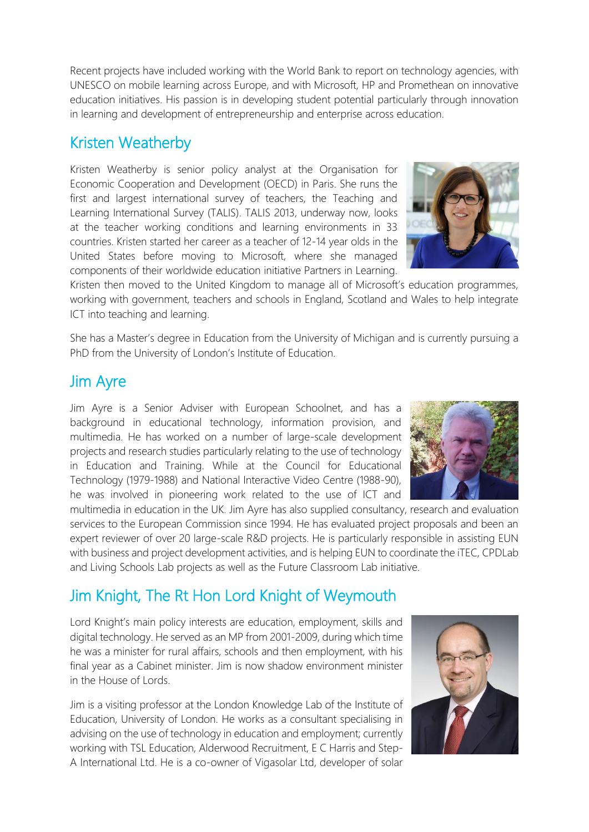Recent projects have included working with the World Bank to report on technology agencies, with UNESCO on mobile learning across Europe, and with Microsoft, HP and Promethean on innovative education initiatives. His passion is in developing student potential particularly through innovation in learning and development of entrepreneurship and enterprise across education.

#### Kristen Weatherby

Kristen Weatherby is senior policy analyst at the Organisation for Economic Cooperation and Development (OECD) in Paris. She runs the first and largest international survey of teachers, the Teaching and Learning International Survey (TALIS). TALIS 2013, underway now, looks at the teacher working conditions and learning environments in 33 countries. Kristen started her career as a teacher of 12-14 year olds in the United States before moving to Microsoft, where she managed components of their worldwide education initiative Partners in Learning.

Kristen then moved to the United Kingdom to manage all of Microsoft's education programmes, working with government, teachers and schools in England, Scotland and Wales to help integrate ICT into teaching and learning.

She has a Master's degree in Education from the University of Michigan and is currently pursuing a PhD from the University of London's Institute of Education.

#### Jim Ayre

Jim Ayre is a Senior Adviser with European Schoolnet, and has a background in educational technology, information provision, and multimedia. He has worked on a number of large-scale development projects and research studies particularly relating to the use of technology in Education and Training. While at the Council for Educational Technology (1979-1988) and National Interactive Video Centre (1988-90), he was involved in pioneering work related to the use of ICT and

multimedia in education in the UK. Jim Ayre has also supplied consultancy, research and evaluation services to the European Commission since 1994. He has evaluated project proposals and been an expert reviewer of over 20 large-scale R&D projects. He is particularly responsible in assisting EUN with business and project development activities, and is helping EUN to coordinate the iTEC, CPDLab and Living Schools Lab projects as well as the Future Classroom Lab initiative.

# Jim Knight, The Rt Hon Lord Knight of Weymouth

Lord Knight's main policy interests are education, employment, skills and digital technology. He served as an MP from 2001-2009, during which time he was a minister for rural affairs, schools and then employment, with his final year as a Cabinet minister. Jim is now shadow environment minister in the House of Lords.

Jim is a visiting professor at the London Knowledge Lab of the Institute of Education, University of London. He works as a consultant specialising in advising on the use of technology in education and employment; currently working with TSL Education, Alderwood Recruitment, E C Harris and Step-A International Ltd. He is a co-owner of Vigasolar Ltd, developer of solar





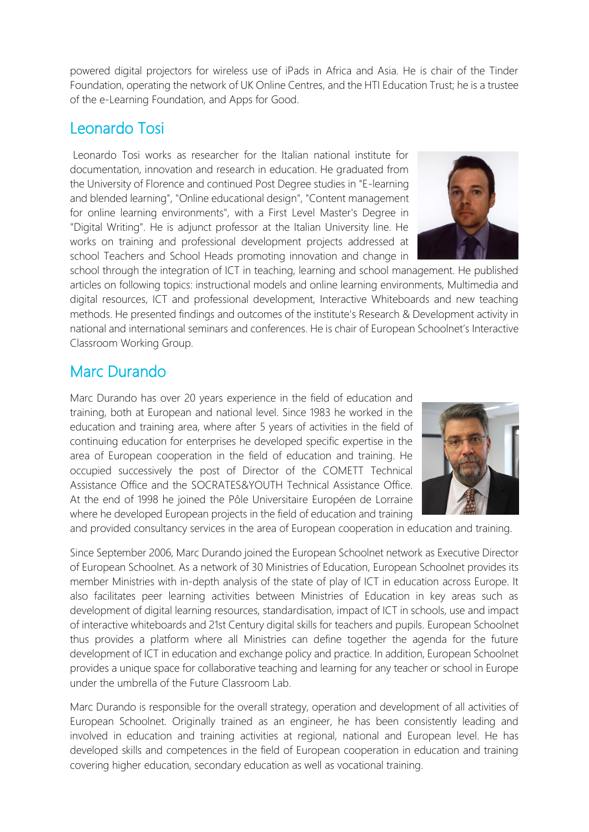powered digital projectors for wireless use of iPads in Africa and Asia. He is chair of the Tinder Foundation, operating the network of UK Online Centres, and the HTI Education Trust; he is a trustee of the e-Learning Foundation, and Apps for Good.

#### Leonardo Tosi

Leonardo Tosi works as researcher for the Italian national institute for documentation, innovation and research in education. He graduated from the University of Florence and continued Post Degree studies in "E-learning and blended learning", "Online educational design", "Content management for online learning environments", with a First Level Master's Degree in "Digital Writing". He is adjunct professor at the Italian University line. He works on training and professional development projects addressed at school Teachers and School Heads promoting innovation and change in



school through the integration of ICT in teaching, learning and school management. He published articles on following topics: instructional models and online learning environments, Multimedia and digital resources, ICT and professional development, Interactive Whiteboards and new teaching methods. He presented findings and outcomes of the institute's Research & Development activity in national and international seminars and conferences. He is chair of European Schoolnet's Interactive Classroom Working Group.

#### Marc Durando

Marc Durando has over 20 years experience in the field of education and training, both at European and national level. Since 1983 he worked in the education and training area, where after 5 years of activities in the field of continuing education for enterprises he developed specific expertise in the area of European cooperation in the field of education and training. He occupied successively the post of Director of the COMETT Technical Assistance Office and the SOCRATES&YOUTH Technical Assistance Office. At the end of 1998 he joined the Pôle Universitaire Européen de Lorraine where he developed European projects in the field of education and training



and provided consultancy services in the area of European cooperation in education and training.

Since September 2006, Marc Durando joined the European Schoolnet network as Executive Director of European Schoolnet. As a network of 30 Ministries of Education, European Schoolnet provides its member Ministries with in-depth analysis of the state of play of ICT in education across Europe. It also facilitates peer learning activities between Ministries of Education in key areas such as development of digital learning resources, standardisation, impact of ICT in schools, use and impact of interactive whiteboards and 21st Century digital skills for teachers and pupils. European Schoolnet thus provides a platform where all Ministries can define together the agenda for the future development of ICT in education and exchange policy and practice. In addition, European Schoolnet provides a unique space for collaborative teaching and learning for any teacher or school in Europe under the umbrella of the Future Classroom Lab.

Marc Durando is responsible for the overall strategy, operation and development of all activities of European Schoolnet. Originally trained as an engineer, he has been consistently leading and involved in education and training activities at regional, national and European level. He has developed skills and competences in the field of European cooperation in education and training covering higher education, secondary education as well as vocational training.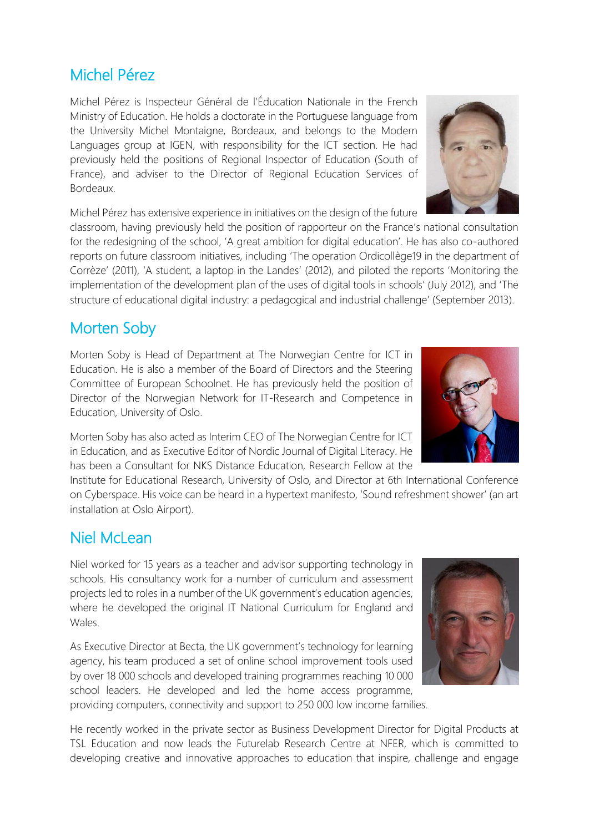### Michel Pérez

Michel Pérez is Inspecteur Général de l'Éducation Nationale in the French Ministry of Education. He holds a doctorate in the Portuguese language from the University Michel Montaigne, Bordeaux, and belongs to the Modern Languages group at IGEN, with responsibility for the ICT section. He had previously held the positions of Regional Inspector of Education (South of France), and adviser to the Director of Regional Education Services of Bordeaux.

Michel Pérez has extensive experience in initiatives on the design of the future

classroom, having previously held the position of rapporteur on the France's national consultation for the redesigning of the school, 'A great ambition for digital education'. He has also co-authored reports on future classroom initiatives, including 'The operation Ordicollège19 in the department of Corrèze' (2011), 'A student, a laptop in the Landes' (2012), and piloted the reports 'Monitoring the implementation of the development plan of the uses of digital tools in schools' (July 2012), and 'The structure of educational digital industry: a pedagogical and industrial challenge' (September 2013).

#### Morten Soby

Morten Soby is Head of Department at The Norwegian Centre for ICT in Education. He is also a member of the Board of Directors and the Steering Committee of European Schoolnet. He has previously held the position of Director of the Norwegian Network for IT-Research and Competence in Education, University of Oslo.

Morten Soby has also acted as Interim CEO of The Norwegian Centre for ICT in Education, and as Executive Editor of Nordic Journal of Digital Literacy. He has been a Consultant for NKS Distance Education, Research Fellow at the

Institute for Educational Research, University of Oslo, and Director at 6th International Conference on Cyberspace. His voice can be heard in a hypertext manifesto, 'Sound refreshment shower' (an art installation at Oslo Airport).

#### Niel McLean

Niel worked for 15 years as a teacher and advisor supporting technology in schools. His consultancy work for a number of curriculum and assessment projects led to roles in a number of the UK government's education agencies, where he developed the original IT National Curriculum for England and Wales.

As Executive Director at Becta, the UK government's technology for learning agency, his team produced a set of online school improvement tools used by over 18 000 schools and developed training programmes reaching 10 000 school leaders. He developed and led the home access programme, providing computers, connectivity and support to 250 000 low income families.

He recently worked in the private sector as Business Development Director for Digital Products at TSL Education and now leads the Futurelab Research Centre at NFER, which is committed to developing creative and innovative approaches to education that inspire, challenge and engage





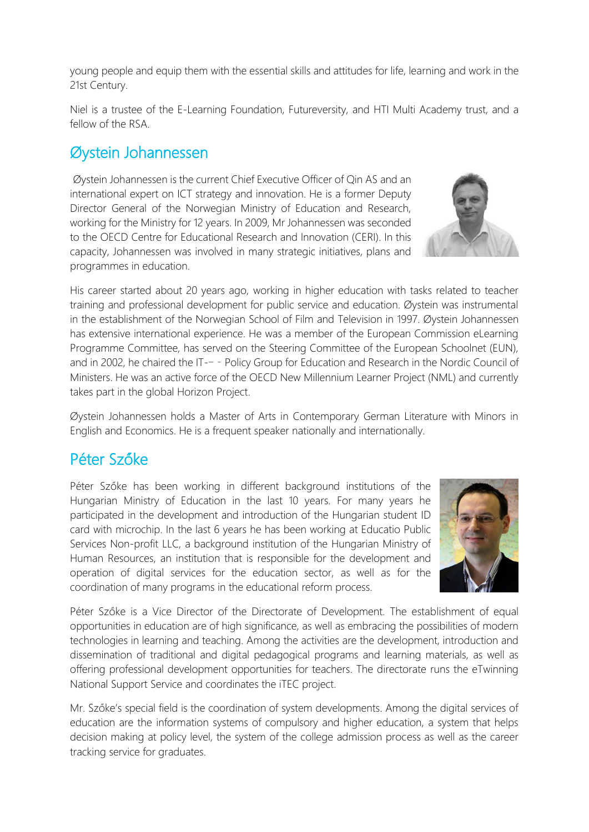young people and equip them with the essential skills and attitudes for life, learning and work in the 21st Century.

Niel is a trustee of the E-Learning Foundation, Futureversity, and HTI Multi Academy trust, and a fellow of the RSA.

#### Øystein Johannessen

Øystein Johannessen is the current Chief Executive Officer of Qin AS and an international expert on ICT strategy and innovation. He is a former Deputy Director General of the Norwegian Ministry of Education and Research, working for the Ministry for 12 years. In 2009, Mr Johannessen was seconded to the OECD Centre for Educational Research and Innovation (CERI). In this capacity, Johannessen was involved in many strategic initiatives, plans and programmes in education.

His career started about 20 years ago, working in higher education with tasks related to teacher training and professional development for public service and education. Øystein was instrumental in the establishment of the Norwegian School of Film and Television in 1997. Øystein Johannessen has extensive international experience. He was a member of the European Commission eLearning Programme Committee, has served on the Steering Committee of the European Schoolnet (EUN), and in 2002, he chaired the IT-- - Policy Group for Education and Research in the Nordic Council of Ministers. He was an active force of the OECD New Millennium Learner Project (NML) and currently takes part in the global Horizon Project.

Øystein Johannessen holds a Master of Arts in Contemporary German Literature with Minors in English and Economics. He is a frequent speaker nationally and internationally.

#### Péter Szőke

Péter Szőke has been working in different background institutions of the Hungarian Ministry of Education in the last 10 years. For many years he participated in the development and introduction of the Hungarian student ID card with microchip. In the last 6 years he has been working at Educatio Public Services Non-profit LLC, a background institution of the Hungarian Ministry of Human Resources, an institution that is responsible for the development and operation of digital services for the education sector, as well as for the coordination of many programs in the educational reform process.

Péter Szőke is a Vice Director of the Directorate of Development. The establishment of equal opportunities in education are of high significance, as well as embracing the possibilities of modern technologies in learning and teaching. Among the activities are the development, introduction and dissemination of traditional and digital pedagogical programs and learning materials, as well as offering professional development opportunities for teachers. The directorate runs the eTwinning National Support Service and coordinates the iTEC project.

Mr. Szőke's special field is the coordination of system developments. Among the digital services of education are the information systems of compulsory and higher education, a system that helps decision making at policy level, the system of the college admission process as well as the career tracking service for graduates.



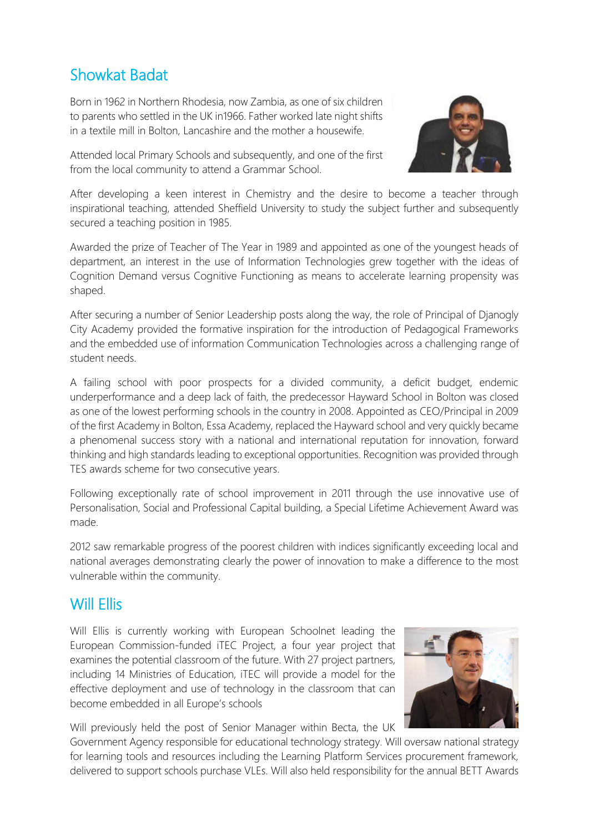# Showkat Badat

Born in 1962 in Northern Rhodesia, now Zambia, as one of six children to parents who settled in the UK in1966. Father worked late night shifts in a textile mill in Bolton, Lancashire and the mother a housewife.



Attended local Primary Schools and subsequently, and one of the first from the local community to attend a Grammar School.

After developing a keen interest in Chemistry and the desire to become a teacher through inspirational teaching, attended Sheffield University to study the subject further and subsequently secured a teaching position in 1985.

Awarded the prize of Teacher of The Year in 1989 and appointed as one of the youngest heads of department, an interest in the use of Information Technologies grew together with the ideas of Cognition Demand versus Cognitive Functioning as means to accelerate learning propensity was shaped.

After securing a number of Senior Leadership posts along the way, the role of Principal of Djanogly City Academy provided the formative inspiration for the introduction of Pedagogical Frameworks and the embedded use of information Communication Technologies across a challenging range of student needs.

A failing school with poor prospects for a divided community, a deficit budget, endemic underperformance and a deep lack of faith, the predecessor Hayward School in Bolton was closed as one of the lowest performing schools in the country in 2008. Appointed as CEO/Principal in 2009 of the first Academy in Bolton, Essa Academy, replaced the Hayward school and very quickly became a phenomenal success story with a national and international reputation for innovation, forward thinking and high standards leading to exceptional opportunities. Recognition was provided through TES awards scheme for two consecutive years.

Following exceptionally rate of school improvement in 2011 through the use innovative use of Personalisation, Social and Professional Capital building, a Special Lifetime Achievement Award was made.

2012 saw remarkable progress of the poorest children with indices significantly exceeding local and national averages demonstrating clearly the power of innovation to make a difference to the most vulnerable within the community.

#### Will Fllis

Will Ellis is currently working with European Schoolnet leading the European Commission-funded iTEC Project, a four year project that examines the potential classroom of the future. With 27 project partners, including 14 Ministries of Education, iTEC will provide a model for the effective deployment and use of technology in the classroom that can become embedded in all Europe's schools



Will previously held the post of Senior Manager within Becta, the UK

Government Agency responsible for educational technology strategy. Will oversaw national strategy for learning tools and resources including the Learning Platform Services procurement framework, delivered to support schools purchase VLEs. Will also held responsibility for the annual BETT Awards